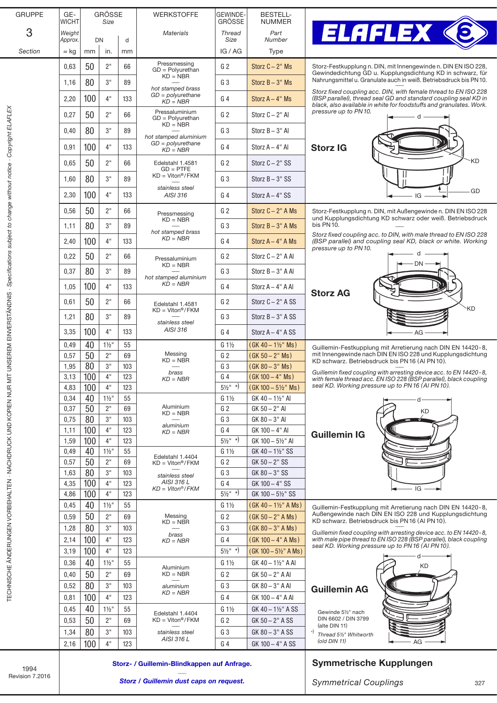| <b>GRUPPE</b> | GE-<br>WICHT | <b>GRÖSSE</b><br>Size |                  |     | <b>WERKSTOFFE</b>                                          | <b>GEWINDE-</b><br><b>GROSSE</b> | <b>BESTELL-</b><br>NUMMER        |                                                     |
|---------------|--------------|-----------------------|------------------|-----|------------------------------------------------------------|----------------------------------|----------------------------------|-----------------------------------------------------|
| 3             | Weight       |                       |                  |     | <b>Materials</b>                                           | <b>Thread</b>                    | Part                             |                                                     |
|               | Approx.      | <b>DN</b>             |                  | d   |                                                            | Size                             | Number                           |                                                     |
| Section       | $\approx$ kg | mm                    | in.              | mm  |                                                            | IG / AG                          | Type                             |                                                     |
|               | 0,63         | 50                    | 2"               | 66  | Pressmessing<br>$GD = Polyurethan$                         | G <sub>2</sub>                   | Storz $C - 2$ " Ms               | Storz-Festkup<br>Gewindedicht                       |
|               | 1,16         | 80                    | 3"               | 89  | $KD = NBR$<br>hot stamped brass                            | G <sub>3</sub>                   | Storz $B - 3"$ Ms                | Nahrungsmitte                                       |
|               | 2,20         | 100                   | 4"               | 133 | $GD = polyurethane$<br>$KD = NBR$                          | G <sub>4</sub>                   | Storz $A - 4$ " Ms               | Storz fixed co<br>(BSP parallel)<br>black, also ava |
|               | 0,27         | 50                    | 2 <sup>11</sup>  | 66  | Pressaluminium<br>$GD = \text{Polvurethan}$                | G <sub>2</sub>                   | Storz $C - 2$ " Al               | pressure up t                                       |
|               | 0,40         | 80                    | 3"               | 89  | $KD = NBR$                                                 | G <sub>3</sub>                   | Storz $B - 3"$ Al                |                                                     |
|               | 0,91         | 100                   | 4"               | 133 | hot stamped aluminium<br>$GD = polyurethane$<br>$KD = NBR$ | G <sub>4</sub>                   | Storz $A - 4$ " Al               | <b>Storz IG</b>                                     |
|               | 0.65         | 50                    | 2"               | 66  | Edelstahl 1.4581                                           | G <sub>2</sub>                   | Storz $C - 2$ " SS               |                                                     |
|               | 1,60         | 80                    | 3"               | 89  | $GD = PTFE$<br>$KD = Viton$ <sup>®</sup> /FKM              | G <sub>3</sub>                   | Storz $B - 3"$ SS                |                                                     |
|               | 2,30         | 100                   | 4"               | 133 | stainless steel<br>AISI 316                                | G <sub>4</sub>                   | Storz $A - 4$ " SS               |                                                     |
|               | 0,56         | 50                    | 2"               | 66  |                                                            | G <sub>2</sub>                   | Storz $C - 2$ " A Ms             | Storz-Festkup                                       |
|               | 1,11         | 80                    | 3"               | 89  | Pressmessing<br>$KD = NBR$                                 | G <sub>3</sub>                   | Storz $B - 3"$ A Ms              | und Kupplung<br>bis PN 10.                          |
|               |              |                       |                  |     | hot stamped brass<br>$KD = NBR$                            |                                  |                                  | Storz fixed co                                      |
|               | 2,40         | 100                   | 4"               | 133 |                                                            | G <sub>4</sub>                   | Storz $A - 4"$ A Ms              | (BSP parallel)<br>pressure up t                     |
|               | 0,22         | 50                    | 2"               | 66  | Pressaluminium<br>$KD = NBR$                               | G <sub>2</sub>                   | Storz C - 2" A Al                |                                                     |
|               | 0,37         | 80                    | 3"               | 89  | hot stamped aluminium                                      | G <sub>3</sub>                   | Storz $B - 3"$ A Al              |                                                     |
|               | 1,05         | 100                   | 4"               | 133 | $KD = NBR$                                                 | G <sub>4</sub>                   | Storz $A - 4$ " A Al             | <b>Storz AG</b>                                     |
|               | 0,61         | 50                    | 2"               | 66  | Edelstahl 1.4581<br>$KD = Viton$ <sup>®</sup> /FKM         | G <sub>2</sub>                   | Storz $C - 2$ " A SS             |                                                     |
|               | 1,21         | 80                    | 3"               | 89  | stainless steel                                            | G <sub>3</sub>                   | Storz $B - 3"$ A SS              |                                                     |
|               | 3,35         | 100                   | 4"               | 133 | AISI 316                                                   | G <sub>4</sub>                   | Storz $A - 4$ " A SS             |                                                     |
|               | 0,49         | 40                    | $1\frac{1}{2}$ " | 55  |                                                            | $G_1\frac{1}{2}$                 | $(GK 40 - 1\frac{1}{2}$ " Ms)    | Guillemin-Fes                                       |
|               | 0,57         | 50                    | 2 <sup>11</sup>  | 69  | Messing<br>$KD = NBR$                                      | G <sub>2</sub>                   | $(GK 50 - 2" MS)$                | mit Innengew<br>KD schwarz.                         |
|               | 1,95         | 80                    | 3"               | 103 | brass                                                      | G <sub>3</sub>                   | $(GK 80 - 3" MS)$                | Guillemin fixed                                     |
|               | 3.13         | 100                   | 4"               | 123 | KD = NBR                                                   | G <sub>4</sub>                   | $(GK 100 - 4" MS)$               | with female th<br>seal KD. Worl                     |
|               | 4,83         | 100                   | 4"               | 123 |                                                            | $5\frac{1}{2}$ " *)              | $(GK 100 - 5\frac{1}{2}$ Ms)     |                                                     |
|               | 0,34         | 40                    | $1\frac{1}{2}$ " | 55  |                                                            | $G_1\frac{1}{2}$                 | GK 40 - 11/2" AI                 |                                                     |
|               | 0,37         | 50                    | 2"               | 69  | Aluminium<br>$KD = NBR$                                    | G <sub>2</sub>                   | GK 50 - 2" AI                    |                                                     |
|               | 0,75         | 80                    | 3"               | 103 |                                                            | G <sub>3</sub>                   | GK 80 - 3" AI                    |                                                     |
|               | 1,11         | 100                   | 4"               | 123 | aluminium<br>$KD = NBR$                                    | G <sub>4</sub>                   | GK 100 - 4" AI                   | <b>Guillemir</b>                                    |
|               | 1,59         | 100                   | 4"               | 123 |                                                            | $5\frac{1}{2}$ *)                | GK 100 - 51/2" AI                |                                                     |
|               | 0,49         | 40                    | $1\frac{1}{2}$ " | 55  |                                                            | $G_1\frac{1}{2}$                 | GK 40 - 1½" SS                   |                                                     |
|               | 0,57         | 50                    | 2"               | 69  | Edelstahl 1.4404<br>$KD = Viton$ <sup>®</sup> /FKM         | G <sub>2</sub>                   | $GK 50 - 2" SS$                  |                                                     |
|               | 1,63         | 80                    | 3"               | 103 | stainless steel                                            | G <sub>3</sub>                   | GK 80 - 3" SS                    |                                                     |
|               | 4,35         | 100                   | 4"               | 123 | AISI 316 L                                                 | G <sub>4</sub>                   | GK 100 - 4" SS                   |                                                     |
|               | 4,86         | 100                   | 4"               | 123 | $KD = Viton$ <sup>®</sup> / $FKM$                          | $5\frac{1}{2}$ " *)              | GK 100 - 51/2" SS                |                                                     |
|               | 0,45         | 40                    | $1\frac{1}{2}$ " | 55  |                                                            | $G_1\frac{1}{2}$                 | (GK 40 - 1½" A Ms)               |                                                     |
|               |              |                       |                  |     | Messing                                                    |                                  |                                  | Guillemin-Fes<br>Außengewinc                        |
|               | 0,59         | 50                    | 2"               | 69  | $KD = NBR$                                                 | G <sub>2</sub>                   | $(GK 50 - 2" A Ms)$              | KD schwarz.                                         |
|               | 1,28         | 80                    | 3"               | 103 | brass                                                      | G <sub>3</sub>                   | $(GK 80 - 3" A Ms)$              | Guillemin fixed                                     |
|               | 2,14         | 100                   | 4"               | 123 | $KD = NBR$                                                 | G <sub>4</sub>                   | $(GK 100 - 4" A Ms)$             | with male pipe<br>seal KD. Worl                     |
|               | 3,19         | 100                   | 4"               | 123 |                                                            | $5\frac{1}{2}$ " *)              | $(GK 100 - 5\frac{1}{2}$ " A Ms) |                                                     |
|               | 0,36         | 40                    | $1\frac{1}{2}$ " | 55  |                                                            | $G_1\frac{1}{2}$                 | GK 40 - 1½" A AI                 |                                                     |
|               | 0,40         | 50                    | 2"               | 69  | Aluminium<br>$KD = NBR$                                    | G <sub>2</sub>                   | GK 50 - 2" A AI                  |                                                     |
|               |              | 80                    | 3"               |     |                                                            | G <sub>3</sub>                   |                                  |                                                     |
|               | 0,52         |                       |                  | 103 | aluminium<br>$KD = NBR$                                    |                                  | GK 80 - 3" A AI                  | <b>Guillemir</b>                                    |
|               | 0,81         | 100                   | 4"               | 123 |                                                            | G <sub>4</sub>                   | GK 100 - 4" A AI                 |                                                     |
|               | 0,45         | 40                    | $1\frac{1}{2}$ " | 55  | Edelstahl 1.4404                                           | $G_1\frac{1}{2}$                 | GK 40 - 11/2" A SS               | Gewinde 51/2                                        |
|               | 0,53         | 50                    | 2"               | 69  | $KD = Viton$ <sup>®</sup> /FKM                             | G <sub>2</sub>                   | GK 50 - 2" A SS                  | DIN 6602 / D<br>(alte DIN 11)                       |
|               | 1,34         | 80                    | 3"               | 103 | stainless steel                                            | G <sub>3</sub>                   | GK 80 - 3" A SS                  | *)<br>Thread 51/2" V                                |
|               | 2,16         | 100                   | 4"               | 123 | AISI 316 L                                                 | G <sub>4</sub>                   | GK 100 - 4" A SS                 | $\left($ old DIN 11 $\right)$                       |
|               |              |                       |                  |     |                                                            |                                  |                                  |                                                     |



G 2 Storz C − 2" Ms Storz-Festkupplung n. DIN, mit Innengewinde n. DIN EN ISO 228, Storz Fest Kupplungs dichtung GD u. Kupplungsdichtung KD in schwarz, für Nahrungsmittel u. Granulate auch in weiß. Betriebsdruck bis PN10. ––––

> *Storz fixed coupling acc. DIN, with female thread to EN ISO 228 (BSP parallel), thread seal GD and standard coupling seal KD in black, also available in white for foodstuffs and granulates. Work. pressure up to PN10.*



**borz-Festkupplung n. DIN, mit Außengewinde n. DIN EN ISO 228** und Kupplungsdichtung KD schwarz oder weiß. Betriebsdruck s PN10.

*Storz fixed coupling acc. to DIN, with male thread to EN ISO 228 (BSP parallel) and coupling seal KD, black or white. Working pressure up to PN10.*



G 1½ (GK 40 − 1½" Ms) Guillemin-Festkupplung mit Arretierung nach DIN EN 14420 - 8,<br>G 2 (GK 50 − 2" Ms) mit Innengewinde nach DIN EN ISO 228 und Kupplungsdichtung k ministigenmas nash Birt ⊑rt is e ⊑es ana nap<sub>p</sub><br>D schwarz. Betriebsdruck bis PN 16 (Al PN 10).

> *Guillemin fixed coupling with arresting device acc. to EN 14420-8, with female thread acc. EN ISO 228 (BSP parallel), black coupling seal KD. Working pressure up to PN16 (Al PN10).*

## Guillemin IG



G 1½ (GK 40 − 1½" A Ms) Guillemin-Festkupplung mit Arretierung nach DIN EN 14420-8, Außengewinde nach DIN EN ISO 228 und Kupplungsdichtung KD schwarz. Betriebsdruck bis PN16 (Al PN10). ––––

*Guillemin fixed coupling with arresting device acc. to EN 14420-8, with male pipe thread to EN ISO 228 (BSP parallel), black coupling seal KD. Working pressure up to PN16 (Al PN10).*



## Symmetrische Kupplungen

1994 Revision 7.2016

TECHNISCHE ÄNDERUNGEN VORBEHALTEN · NACHDRUCK UND KOPIEN NUR MIT UNSEREM EINVERSTÄNDNIS *· Specifications subject to change without notice · Copyright ELAFLEX*

TECHNISCHE ÄNDERUNGEN VORBEHALTEN - NACHDRUCK UND KOPIEN NUR MIT UNSEREM EINVERSTÄNDNIS - S*pecifications subject to change without notice - Copyright ELAFLEX* 

*Storz / Guillemin dust caps on request.*